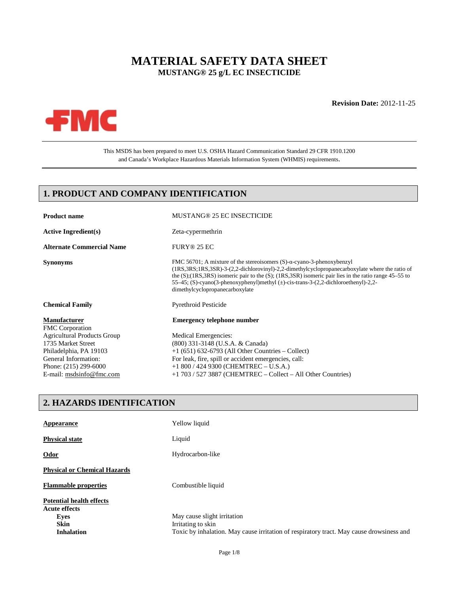# **MATERIAL SAFETY DATA SHEET MUSTANG® 25 g/L EC INSECTICIDE**

#### **Revision Date:** 2012-11-25



This MSDS has been prepared to meet U.S. OSHA Hazard Communication Standard 29 CFR 1910.1200 and Canada's Workplace Hazardous Materials Information System (WHMIS) requirements.

## **1. PRODUCT AND COMPANY IDENTIFICATION**

| <b>Product name</b>                           | <b>MUSTANG® 25 EC INSECTICIDE</b>                                                                                                                                                                                                                                                                                                                                                                                                            |
|-----------------------------------------------|----------------------------------------------------------------------------------------------------------------------------------------------------------------------------------------------------------------------------------------------------------------------------------------------------------------------------------------------------------------------------------------------------------------------------------------------|
| <b>Active Ingredient(s)</b>                   | Zeta-cypermethrin                                                                                                                                                                                                                                                                                                                                                                                                                            |
| <b>Alternate Commercial Name</b>              | FURY® 25 EC                                                                                                                                                                                                                                                                                                                                                                                                                                  |
| <b>Synonyms</b>                               | FMC 56701; A mixture of the stereoisomers $(S)$ - $\alpha$ -cyano-3-phenoxybenzyl<br>$(1RS, 3RS, 1RS, 3SR)$ -3- $(2,2$ -dichlorovinyl)-2,2-dimethylcyclopropanecarboxylate where the ratio of<br>the $(S)$ ; (1RS, 3RS) isomeric pair to the $(S)$ ; (1RS, 3SR) isomeric pair lies in the ratio range 45–55 to<br>55–45; (S)-cyano(3-phenoxyphenyl)methyl $(\pm)$ -cis-trans-3-(2,2-dichloroethenyl)-2,2-<br>dimethylcyclopropanecarboxylate |
| <b>Chemical Family</b>                        | <b>Pyrethroid Pesticide</b>                                                                                                                                                                                                                                                                                                                                                                                                                  |
| <b>Manufacturer</b><br><b>FMC</b> Corporation | <b>Emergency telephone number</b>                                                                                                                                                                                                                                                                                                                                                                                                            |
| <b>Agricultural Products Group</b>            | Medical Emergencies:                                                                                                                                                                                                                                                                                                                                                                                                                         |
| 1735 Market Street                            | (800) 331-3148 (U.S.A. & Canada)                                                                                                                                                                                                                                                                                                                                                                                                             |
| Philadelphia, PA 19103                        | $+1$ (651) 632-6793 (All Other Countries – Collect)                                                                                                                                                                                                                                                                                                                                                                                          |
| General Information:                          | For leak, fire, spill or accident emergencies, call:                                                                                                                                                                                                                                                                                                                                                                                         |
| Phone: (215) 299-6000                         | $+1800 / 4249300$ (CHEMTREC - U.S.A.)                                                                                                                                                                                                                                                                                                                                                                                                        |
| E-mail: msdsinfo@fmc.com                      | $+1$ 703 / 527 3887 (CHEMTREC – Collect – All Other Countries)                                                                                                                                                                                                                                                                                                                                                                               |

## **2. HAZARDS IDENTIFICATION**

| Appearance                                              | Yellow liquid                                                                            |
|---------------------------------------------------------|------------------------------------------------------------------------------------------|
| <b>Physical state</b>                                   | Liquid                                                                                   |
| $Odor$                                                  | Hydrocarbon-like                                                                         |
| <b>Physical or Chemical Hazards</b>                     |                                                                                          |
| <b>Flammable properties</b>                             | Combustible liquid                                                                       |
| <b>Potential health effects</b><br><b>Acute effects</b> |                                                                                          |
| Eves                                                    | May cause slight irritation                                                              |
| <b>Skin</b>                                             | Irritating to skin                                                                       |
| <b>Inhalation</b>                                       | Toxic by inhalation. May cause irritation of respiratory tract. May cause drowsiness and |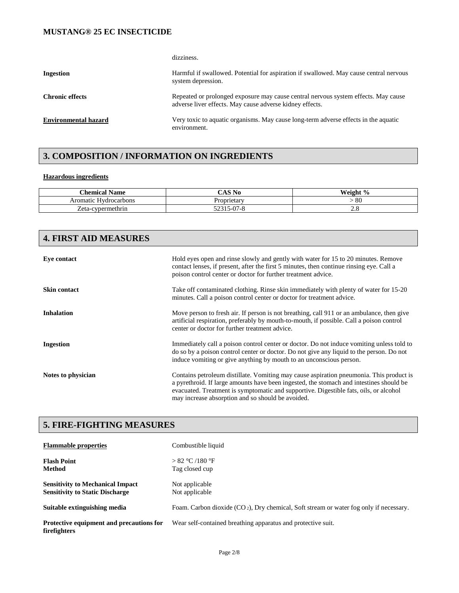dizziness.

| Ingestion                   | Harmful if swallowed. Potential for aspiration if swallowed. May cause central nervous<br>system depression.                                   |
|-----------------------------|------------------------------------------------------------------------------------------------------------------------------------------------|
| <b>Chronic effects</b>      | Repeated or prolonged exposure may cause central nervous system effects. May cause<br>adverse liver effects. May cause adverse kidney effects. |
| <b>Environmental hazard</b> | Very toxic to aquatic organisms. May cause long-term adverse effects in the aquatic<br>environment.                                            |

## **3. COMPOSITION / INFORMATION ON INGREDIENTS**

#### **Hazardous ingredients**

| <b>Chemical</b><br><b>Name</b> | $\sim$ $\sim$ $\sim$<br>No | Weight % |
|--------------------------------|----------------------------|----------|
| : Hydrocarbons<br>Aromatic     | Proprietarv                | -80      |
| -cypermethrin<br>Zeta-         | $\sim$<br>১-৩7-১<br>ر ے ر  | $\sim$ 0 |

| <b>4. FIRST AID MEASURES</b> |                                                                                                                                                                                                                                                                                                                                  |
|------------------------------|----------------------------------------------------------------------------------------------------------------------------------------------------------------------------------------------------------------------------------------------------------------------------------------------------------------------------------|
| Eye contact                  | Hold eyes open and rinse slowly and gently with water for 15 to 20 minutes. Remove<br>contact lenses, if present, after the first 5 minutes, then continue rinsing eye. Call a<br>poison control center or doctor for further treatment advice.                                                                                  |
| Skin contact                 | Take off contaminated clothing. Rinse skin immediately with plenty of water for 15-20<br>minutes. Call a poison control center or doctor for treatment advice.                                                                                                                                                                   |
| <b>Inhalation</b>            | Move person to fresh air. If person is not breathing, call 911 or an ambulance, then give<br>artificial respiration, preferably by mouth-to-mouth, if possible. Call a poison control<br>center or doctor for further treatment advice.                                                                                          |
| Ingestion                    | Immediately call a poison control center or doctor. Do not induce vomiting unless told to<br>do so by a poison control center or doctor. Do not give any liquid to the person. Do not<br>induce vomiting or give anything by mouth to an unconscious person.                                                                     |
| Notes to physician           | Contains petroleum distillate. Vomiting may cause aspiration pneumonia. This product is<br>a pyrethroid. If large amounts have been ingested, the stomach and intestines should be<br>evacuated. Treatment is symptomatic and supportive. Digestible fats, oils, or alcohol<br>may increase absorption and so should be avoided. |

## **5. FIRE-FIGHTING MEASURES**

| <b>Flammable properties</b>                                                       | Combustible liquid                                                                        |
|-----------------------------------------------------------------------------------|-------------------------------------------------------------------------------------------|
| <b>Flash Point</b><br>Method                                                      | > 82 °C / 180 °F<br>Tag closed cup                                                        |
| <b>Sensitivity to Mechanical Impact</b><br><b>Sensitivity to Static Discharge</b> | Not applicable<br>Not applicable                                                          |
| Suitable extinguishing media                                                      | Foam. Carbon dioxide $(CO_2)$ , Dry chemical, Soft stream or water fog only if necessary. |
| Protective equipment and precautions for<br>firefighters                          | Wear self-contained breathing apparatus and protective suit.                              |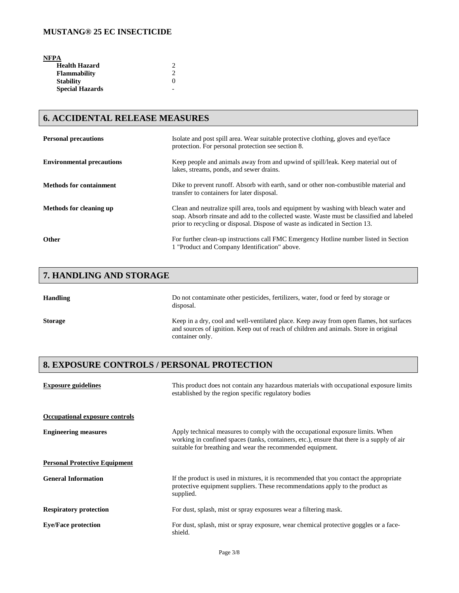**NFPA** 

| <b>Health Hazard</b>   |                   |
|------------------------|-------------------|
| <b>Flammability</b>    |                   |
| <b>Stability</b>       | $\mathbf{\Omega}$ |
| <b>Special Hazards</b> |                   |

## **6. ACCIDENTAL RELEASE MEASURES**

| <b>Personal precautions</b>      | Isolate and post spill area. Wear suitable protective clothing, gloves and eye/face<br>protection. For personal protection see section 8.                                                                                                                          |
|----------------------------------|--------------------------------------------------------------------------------------------------------------------------------------------------------------------------------------------------------------------------------------------------------------------|
| <b>Environmental precautions</b> | Keep people and animals away from and upwind of spill/leak. Keep material out of<br>lakes, streams, ponds, and sewer drains.                                                                                                                                       |
| <b>Methods for containment</b>   | Dike to prevent runoff. Absorb with earth, sand or other non-combustible material and<br>transfer to containers for later disposal.                                                                                                                                |
| Methods for cleaning up          | Clean and neutralize spill area, tools and equipment by washing with bleach water and<br>soap. Absorb rinsate and add to the collected waste. Waste must be classified and labeled<br>prior to recycling or disposal. Dispose of waste as indicated in Section 13. |
| <b>Other</b>                     | For further clean-up instructions call FMC Emergency Hotline number listed in Section<br>1 "Product and Company Identification" above.                                                                                                                             |

# **7. HANDLING AND STORAGE**

| <b>Handling</b> | Do not contaminate other pesticides, fertilizers, water, food or feed by storage or<br>disposal.                                                                                                    |
|-----------------|-----------------------------------------------------------------------------------------------------------------------------------------------------------------------------------------------------|
| <b>Storage</b>  | Keep in a dry, cool and well-ventilated place. Keep away from open flames, hot surfaces<br>and sources of ignition. Keep out of reach of children and animals. Store in original<br>container only. |

# **8. EXPOSURE CONTROLS / PERSONAL PROTECTION**

| <b>Exposure guidelines</b>           | This product does not contain any hazardous materials with occupational exposure limits<br>established by the region specific regulatory bodies                                                                                            |
|--------------------------------------|--------------------------------------------------------------------------------------------------------------------------------------------------------------------------------------------------------------------------------------------|
| Occupational exposure controls       |                                                                                                                                                                                                                                            |
| <b>Engineering measures</b>          | Apply technical measures to comply with the occupational exposure limits. When<br>working in confined spaces (tanks, containers, etc.), ensure that there is a supply of air<br>suitable for breathing and wear the recommended equipment. |
| <b>Personal Protective Equipment</b> |                                                                                                                                                                                                                                            |
| <b>General Information</b>           | If the product is used in mixtures, it is recommended that you contact the appropriate<br>protective equipment suppliers. These recommendations apply to the product as<br>supplied.                                                       |
| <b>Respiratory protection</b>        | For dust, splash, mist or spray exposures wear a filtering mask.                                                                                                                                                                           |
| <b>Eye/Face protection</b>           | For dust, splash, mist or spray exposure, wear chemical protective goggles or a face-<br>shield.                                                                                                                                           |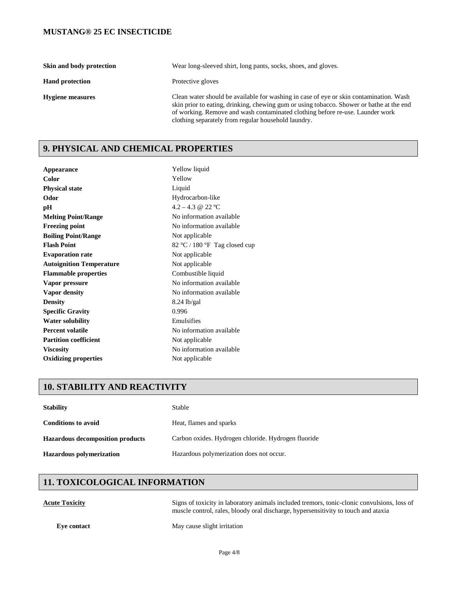| Skin and body protection | Wear long-sleeved shirt, long pants, socks, shoes, and gloves.                                                                                                                                                                                                                                                             |
|--------------------------|----------------------------------------------------------------------------------------------------------------------------------------------------------------------------------------------------------------------------------------------------------------------------------------------------------------------------|
| <b>Hand protection</b>   | Protective gloves                                                                                                                                                                                                                                                                                                          |
| <b>Hygiene measures</b>  | Clean water should be available for washing in case of eye or skin contamination. Wash<br>skin prior to eating, drinking, chewing gum or using tobacco. Shower or bathe at the end<br>of working. Remove and wash contaminated clothing before re-use. Launder work<br>clothing separately from regular household laundry. |

# **9. PHYSICAL AND CHEMICAL PROPERTIES**

| Appearance                      | Yellow liquid                  |
|---------------------------------|--------------------------------|
| Color                           | Yellow                         |
| <b>Physical state</b>           | Liquid                         |
| Odor                            | Hydrocarbon-like               |
| pН                              | $4.2 - 4.3 \ @ \ 22 \text{°C}$ |
| <b>Melting Point/Range</b>      | No information available       |
| <b>Freezing point</b>           | No information available       |
| <b>Boiling Point/Range</b>      | Not applicable                 |
| <b>Flash Point</b>              | 82 °C / 180 °F Tag closed cup  |
| <b>Evaporation rate</b>         | Not applicable                 |
| <b>Autoignition Temperature</b> | Not applicable                 |
| <b>Flammable properties</b>     | Combustible liquid             |
| Vapor pressure                  | No information available       |
| Vapor density                   | No information available       |
| <b>Density</b>                  | 8.24 lb/gal                    |
| <b>Specific Gravity</b>         | 0.996                          |
| <b>Water solubility</b>         | Emulsifies                     |
| <b>Percent volatile</b>         | No information available       |
| <b>Partition coefficient</b>    | Not applicable                 |
| <b>Viscosity</b>                | No information available       |
| <b>Oxidizing properties</b>     | Not applicable                 |

## **10. STABILITY AND REACTIVITY**

| <b>Stability</b>                        | Stable                                              |
|-----------------------------------------|-----------------------------------------------------|
| <b>Conditions to avoid</b>              | Heat, flames and sparks                             |
| <b>Hazardous decomposition products</b> | Carbon oxides. Hydrogen chloride. Hydrogen fluoride |
| <b>Hazardous polymerization</b>         | Hazardous polymerization does not occur.            |

# **11. TOXICOLOGICAL INFORMATION**

**Acute Toxicity** Signs of toxicity in laboratory animals included tremors, tonic-clonic convulsions, loss of muscle control, rales, bloody oral discharge, hypersensitivity to touch and ataxia

**Eye contact** May cause slight irritation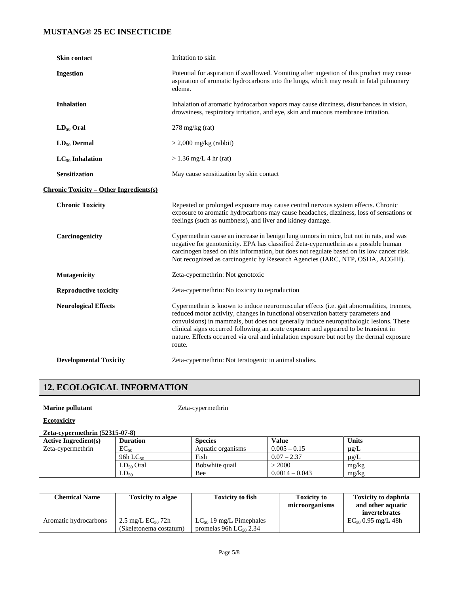| Skin contact                                   | Irritation to skin                                                                                                                                                                                                                                                                                                                                                                                                                                                 |
|------------------------------------------------|--------------------------------------------------------------------------------------------------------------------------------------------------------------------------------------------------------------------------------------------------------------------------------------------------------------------------------------------------------------------------------------------------------------------------------------------------------------------|
| <b>Ingestion</b>                               | Potential for aspiration if swallowed. Vomiting after ingestion of this product may cause<br>aspiration of aromatic hydrocarbons into the lungs, which may result in fatal pulmonary<br>edema.                                                                                                                                                                                                                                                                     |
| <b>Inhalation</b>                              | Inhalation of aromatic hydrocarbon vapors may cause dizziness, disturbances in vision,<br>drowsiness, respiratory irritation, and eye, skin and mucous membrane irritation.                                                                                                                                                                                                                                                                                        |
| $LD_{50}$ Oral                                 | $278 \text{ mg/kg}$ (rat)                                                                                                                                                                                                                                                                                                                                                                                                                                          |
| $LD_{50}$ Dermal                               | $>$ 2,000 mg/kg (rabbit)                                                                                                                                                                                                                                                                                                                                                                                                                                           |
| $LC_{50}$ Inhalation                           | $> 1.36$ mg/L 4 hr (rat)                                                                                                                                                                                                                                                                                                                                                                                                                                           |
| <b>Sensitization</b>                           | May cause sensitization by skin contact                                                                                                                                                                                                                                                                                                                                                                                                                            |
| <b>Chronic Toxicity – Other Ingredients(s)</b> |                                                                                                                                                                                                                                                                                                                                                                                                                                                                    |
| <b>Chronic Toxicity</b>                        | Repeated or prolonged exposure may cause central nervous system effects. Chronic<br>exposure to aromatic hydrocarbons may cause headaches, dizziness, loss of sensations or<br>feelings (such as numbness), and liver and kidney damage.                                                                                                                                                                                                                           |
| Carcinogenicity                                | Cypermethrin cause an increase in benign lung tumors in mice, but not in rats, and was<br>negative for genotoxicity. EPA has classified Zeta-cypermethrin as a possible human<br>carcinogen based on this information, but does not regulate based on its low cancer risk.<br>Not recognized as carcinogenic by Research Agencies (IARC, NTP, OSHA, ACGIH).                                                                                                        |
| <b>Mutagenicity</b>                            | Zeta-cypermethrin: Not genotoxic                                                                                                                                                                                                                                                                                                                                                                                                                                   |
| <b>Reproductive toxicity</b>                   | Zeta-cypermethrin: No toxicity to reproduction                                                                                                                                                                                                                                                                                                                                                                                                                     |
| <b>Neurological Effects</b>                    | Cypermethrin is known to induce neuromuscular effects (i.e. gait abnormalities, tremors,<br>reduced motor activity, changes in functional observation battery parameters and<br>convulsions) in mammals, but does not generally induce neuropathologic lesions. These<br>clinical signs occurred following an acute exposure and appeared to be transient in<br>nature. Effects occurred via oral and inhalation exposure but not by the dermal exposure<br>route. |
| <b>Developmental Toxicity</b>                  | Zeta-cypermethrin: Not teratogenic in animal studies.                                                                                                                                                                                                                                                                                                                                                                                                              |

# **12. ECOLOGICAL INFORMATION**

## **Marine pollutant** Zeta-cypermethrin

**Ecotoxicity**

## **Zeta-cypermethrin (52315-07-8)**

| $= 0.000$                   |                 |                   |                  |              |
|-----------------------------|-----------------|-------------------|------------------|--------------|
| <b>Active Ingredient(s)</b> | <b>Duration</b> | <b>Species</b>    | Value            | <b>Units</b> |
| Zeta-cypermethrin           | $EC_{50}$       | Aquatic organisms | $0.005 - 0.15$   | $\mu$ g/L    |
|                             | 96h L $C_{50}$  | Fish              | $0.07 - 2.37$    | $\mu$ g/L    |
|                             | $LD_{50}$ Oral  | Bobwhite quail    | $-2000$          | mg/kg        |
|                             | $LD_{50}$       | Bee               | $0.0014 - 0.043$ | mg/kg        |

| <b>Chemical Name</b>  | <b>Toxicity to algae</b>                         | <b>Toxicity to fish</b>                                     | <b>Toxicity to</b><br>microorganisms | <b>Toxicity to daphnia</b><br>and other aquatic<br>invertebrates |
|-----------------------|--------------------------------------------------|-------------------------------------------------------------|--------------------------------------|------------------------------------------------------------------|
| Aromatic hydrocarbons | 2.5 mg/L $EC_{50}$ 72h<br>(Skeletonema costatum) | $LC_{50}$ 19 mg/L Pimephales<br>promelas 96h $LC_{50}$ 2.34 |                                      | $EC_{50}$ 0.95 mg/L 48h                                          |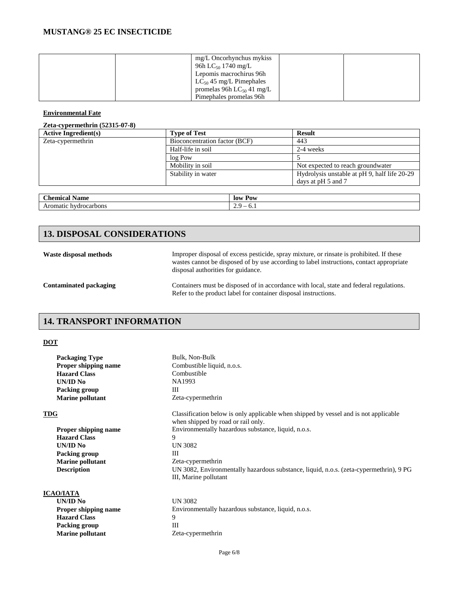|  | mg/L Oncorhynchus mykiss       |  |
|--|--------------------------------|--|
|  | 96h LC <sub>50</sub> 1740 mg/L |  |
|  | Lepomis macrochirus 96h        |  |
|  | $LC_{50}$ 45 mg/L Pimephales   |  |
|  | promelas 96h $LC_{50}$ 41 mg/L |  |
|  | Pimephales promelas 96h        |  |

#### **Environmental Fate**

#### **Zeta-cypermethrin (52315-07-8)**

| <b>Active Ingredient(s)</b> | <b>Type of Test</b>           | <b>Result</b>                                |
|-----------------------------|-------------------------------|----------------------------------------------|
| Zeta-cypermethrin           | Bioconcentration factor (BCF) | 443                                          |
|                             | Half-life in soil             | 2-4 weeks                                    |
|                             | log Pow                       |                                              |
|                             | Mobility in soil              | Not expected to reach groundwater            |
|                             | Stability in water            | Hydrolysis unstable at pH 9, half life 20-29 |
|                             |                               | days at pH 5 and 7                           |
|                             |                               |                                              |

| $\sim$ $\sim$<br>$\sim$<br>`hemical<br>Name | -lov<br>Pow                          |
|---------------------------------------------|--------------------------------------|
| hydrocarbons<br>$\Delta r$<br>Aromatic      | $\overline{\phantom{a}}$<br>.<br>v.s |

## **13. DISPOSAL CONSIDERATIONS**

**Waste disposal methods** Improper disposal of excess pesticide, spray mixture, or rinsate is prohibited. If these wastes cannot be disposed of by use according to label instructions, contact appropriate disposal authorities for guidance.

**Packing group** 

**Marine pollutant** Zeta-cypermethrin

**Contaminated packaging** Containers must be disposed of in accordance with local, state and federal regulations. Refer to the product label for container disposal instructions.

## **14. TRANSPORT INFORMATION**

#### **DOT**

| <b>Packaging Type</b>       | Bulk, Non-Bulk                                                                                                             |
|-----------------------------|----------------------------------------------------------------------------------------------------------------------------|
| <b>Proper shipping name</b> | Combustible liquid, n.o.s.                                                                                                 |
| <b>Hazard Class</b>         | Combustible                                                                                                                |
| UN/ID No                    | NA1993                                                                                                                     |
| Packing group               | Ш                                                                                                                          |
| <b>Marine pollutant</b>     | Zeta-cypermethrin                                                                                                          |
| <b>TDG</b>                  | Classification below is only applicable when shipped by vessel and is not applicable<br>when shipped by road or rail only. |
| <b>Proper shipping name</b> | Environmentally hazardous substance, liquid, n.o.s.                                                                        |
| <b>Hazard Class</b>         | 9                                                                                                                          |
| UN/ID No                    | UN 3082                                                                                                                    |
| Packing group               | Ш                                                                                                                          |
| <b>Marine pollutant</b>     | Zeta-cypermethrin                                                                                                          |
| <b>Description</b>          | UN 3082, Environmentally hazardous substance, liquid, n.o.s. (zeta-cypermethrin), 9 PG<br>III, Marine pollutant            |
| <b>ICAO/IATA</b>            |                                                                                                                            |
| UN/ID No                    | UN 3082                                                                                                                    |
| <b>Proper shipping name</b> | Environmentally hazardous substance, liquid, n.o.s.                                                                        |
| <b>Hazard Class</b>         | 9                                                                                                                          |
| Packing group               | Ш                                                                                                                          |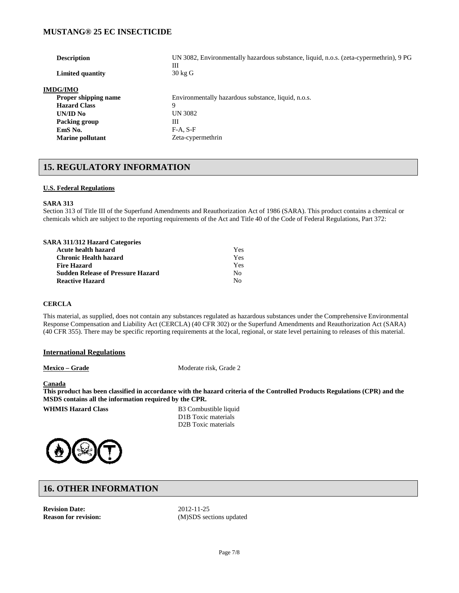| <b>Description</b>          | UN 3082, Environmentally hazardous substance, liquid, n.o.s. (zeta-cypermethrin), 9 PG<br>Ш |
|-----------------------------|---------------------------------------------------------------------------------------------|
| Limited quantity            | $30 \text{ kg}$ G                                                                           |
| <b>IMDG/IMO</b>             |                                                                                             |
| <b>Proper shipping name</b> | Environmentally hazardous substance, liquid, n.o.s.                                         |
| <b>Hazard Class</b>         | 9                                                                                           |
| UN/ID No                    | UN 3082                                                                                     |
| Packing group               | Ш                                                                                           |
| EmS No.                     | $F-A, S-F$                                                                                  |
| <b>Marine pollutant</b>     | Zeta-cypermethrin                                                                           |
|                             |                                                                                             |

## **15. REGULATORY INFORMATION**

#### **U.S. Federal Regulations**

#### **SARA 313**

Section 313 of Title III of the Superfund Amendments and Reauthorization Act of 1986 (SARA). This product contains a chemical or chemicals which are subject to the reporting requirements of the Act and Title 40 of the Code of Federal Regulations, Part 372:

| <b>SARA 311/312 Hazard Categories</b>    |     |
|------------------------------------------|-----|
| Acute health hazard                      | Yes |
| <b>Chronic Health hazard</b>             | Yes |
| <b>Fire Hazard</b>                       | Yes |
| <b>Sudden Release of Pressure Hazard</b> | No. |
| <b>Reactive Hazard</b>                   | N٥  |

#### **CERCLA**

This material, as supplied, does not contain any substances regulated as hazardous substances under the Comprehensive Environmental Response Compensation and Liability Act (CERCLA) (40 CFR 302) or the Superfund Amendments and Reauthorization Act (SARA) (40 CFR 355). There may be specific reporting requirements at the local, regional, or state level pertaining to releases of this material.

#### **International Regulations**

**Mexico – Grade** Moderate risk, Grade 2

#### **Canada**

**This product has been classified in accordance with the hazard criteria of the Controlled Products Regulations (CPR) and the MSDS contains all the information required by the CPR.**

**WHMIS Hazard Class B3 Combustible liquid** 

D1B Toxic materials D2B Toxic materials



## **16. OTHER INFORMATION**

**Revision Date:** 2012-11-25<br> **Reason for revision:** (M)SDS sec

**Reason for revision:** (M)SDS sections updated